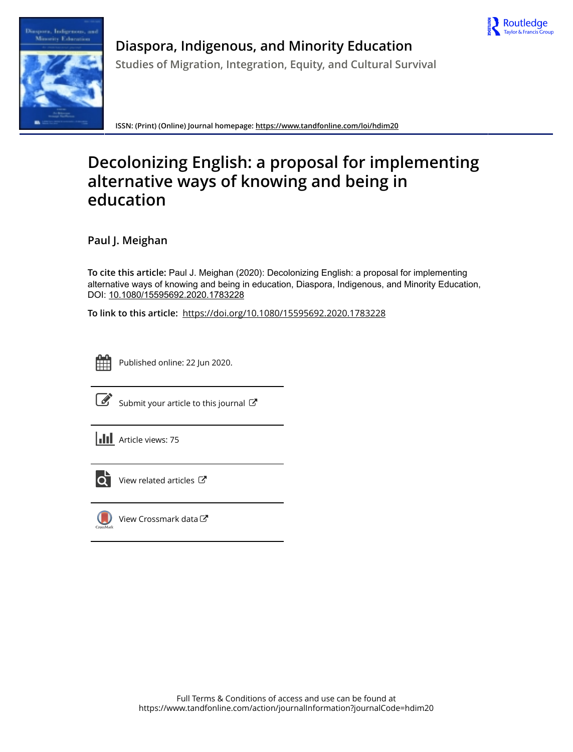



**Diaspora, Indigenous, and Minority Education Studies of Migration, Integration, Equity, and Cultural Survival**

**ISSN: (Print) (Online) Journal homepage:<https://www.tandfonline.com/loi/hdim20>**

# **Decolonizing English: a proposal for implementing alternative ways of knowing and being in education**

**Paul J. Meighan**

**To cite this article:** Paul J. Meighan (2020): Decolonizing English: a proposal for implementing alternative ways of knowing and being in education, Diaspora, Indigenous, and Minority Education, DOI: [10.1080/15595692.2020.1783228](https://www.tandfonline.com/action/showCitFormats?doi=10.1080/15595692.2020.1783228)

**To link to this article:** <https://doi.org/10.1080/15595692.2020.1783228>



Published online: 22 Jun 2020.



 $\overrightarrow{S}$  [Submit your article to this journal](https://www.tandfonline.com/action/authorSubmission?journalCode=hdim20&show=instructions)  $\overrightarrow{S}$ 





 $\overline{\mathbf{C}}$  [View related articles](https://www.tandfonline.com/doi/mlt/10.1080/15595692.2020.1783228)  $\mathbf{C}$ 



[View Crossmark data](http://crossmark.crossref.org/dialog/?doi=10.1080/15595692.2020.1783228&domain=pdf&date_stamp=2020-06-22) $\bm{\mathcal{C}}$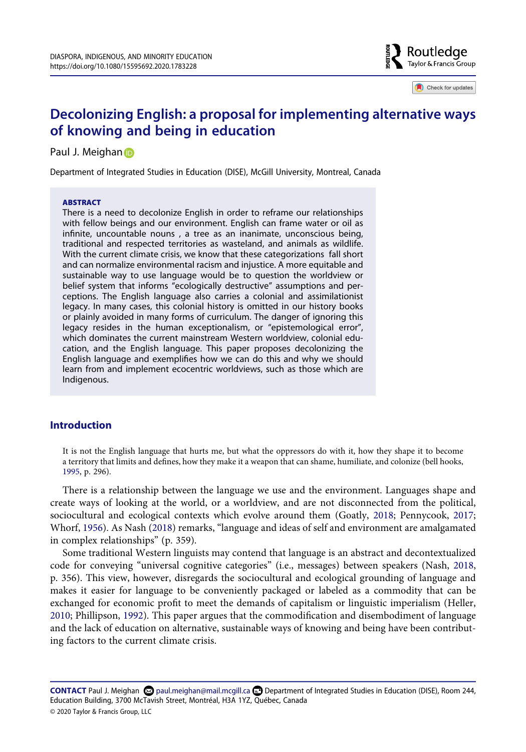

Check for updates

# **Decolonizing English: a proposal for implementing alternative ways of knowing and being in education**

#### Paul J. Meighan

Department of Integrated Studies in Education (DISE), McGill University, Montreal, Canada

#### **ABSTRACT**

There is a need to decolonize English in order to reframe our relationships with fellow beings and our environment. English can frame water or oil as infinite, uncountable nouns , a tree as an inanimate, unconscious being, traditional and respected territories as wasteland, and animals as wildlife. With the current climate crisis, we know that these categorizations fall short and can normalize environmental racism and injustice. A more equitable and sustainable way to use language would be to question the worldview or belief system that informs "ecologically destructive" assumptions and perceptions. The English language also carries a colonial and assimilationist legacy. In many cases, this colonial history is omitted in our history books or plainly avoided in many forms of curriculum. The danger of ignoring this legacy resides in the human exceptionalism, or "epistemological error", which dominates the current mainstream Western worldview, colonial education, and the English language. This paper proposes decolonizing the English language and exemplifies how we can do this and why we should learn from and implement ecocentric worldviews, such as those which are Indigenous.

## **Introduction**

<span id="page-1-0"></span>It is not the English language that hurts me, but what the oppressors do with it, how they shape it to become a territory that limits and defines, how they make it a weapon that can shame, humiliate, and colonize (bell hooks, [1995](#page-6-0), p. 296).

<span id="page-1-1"></span>There is a relationship between the language we use and the environment. Languages shape and create ways of looking at the world, or a worldview, and are not disconnected from the political, sociocultural and ecological contexts which evolve around them (Goatly, [2018;](#page-6-1) Pennycook, [2017;](#page-6-2) Whorf, [1956\)](#page-7-0). As Nash ([2018](#page-6-3)) remarks, "language and ideas of self and environment are amalgamated in complex relationships" (p. 359).

<span id="page-1-5"></span><span id="page-1-4"></span><span id="page-1-3"></span><span id="page-1-2"></span>Some traditional Western linguists may contend that language is an abstract and decontextualized code for conveying "universal cognitive categories" (i.e., messages) between speakers (Nash, [2018,](#page-6-3) p. 356). This view, however, disregards the sociocultural and ecological grounding of language and makes it easier for language to be conveniently packaged or labeled as a commodity that can be exchanged for economic profit to meet the demands of capitalism or linguistic imperialism (Heller, [2010](#page-6-4); Phillipson, [1992](#page-6-5)). This paper argues that the commodification and disembodiment of language and the lack of education on alternative, sustainable ways of knowing and being have been contributing factors to the current climate crisis.

**CONTACT** Paul J. Meighan paul.meighan@mail.mcgill.ca Department of Integrated Studies in Education (DISE), Room 244, Education Building, 3700 McTavish Street, Montréal, H3A 1YZ, Québec, Canada © 2020 Taylor & Francis Group, LLC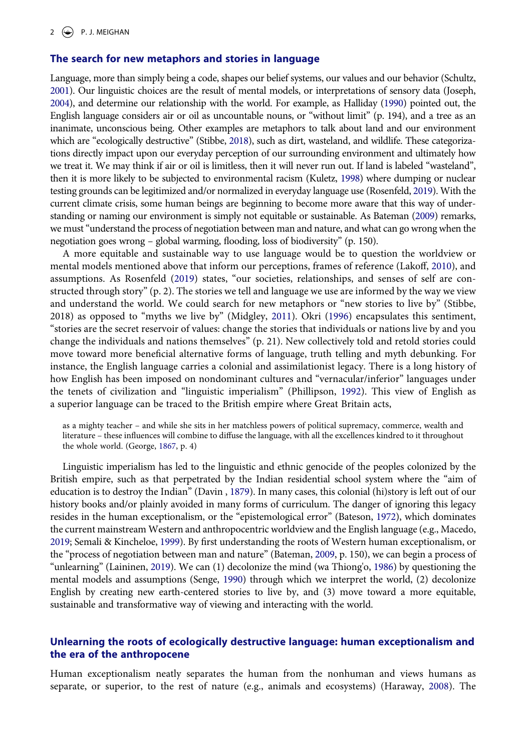#### **The search for new metaphors and stories in language**

<span id="page-2-16"></span><span id="page-2-13"></span><span id="page-2-6"></span><span id="page-2-4"></span>Language, more than simply being a code, shapes our belief systems, our values and our behavior (Schultz, [2001](#page-7-1)). Our linguistic choices are the result of mental models, or interpretations of sensory data (Joseph, [2004](#page-6-6)), and determine our relationship with the world. For example, as Halliday [\(1990](#page-6-7)) pointed out, the English language considers air or oil as uncountable nouns, or "without limit" (p. 194), and a tree as an inanimate, unconscious being. Other examples are metaphors to talk about land and our environment which are "ecologically destructive" (Stibbe, [2018\)](#page-7-2), such as dirt, wasteland, and wildlife. These categorizations directly impact upon our everyday perception of our surrounding environment and ultimately how we treat it. We may think if air or oil is limitless, then it will never run out. If land is labeled "wasteland", then it is more likely to be subjected to environmental racism (Kuletz, [1998\)](#page-6-8) where dumping or nuclear testing grounds can be legitimized and/or normalized in everyday language use (Rosenfeld, [2019](#page-6-9)). With the current climate crisis, some human beings are beginning to become more aware that this way of understanding or naming our environment is simply not equitable or sustainable. As Bateman [\(2009](#page-6-10)) remarks, we must "understand the process of negotiation between man and nature, and what can go wrong when the negotiation goes wrong – global warming, flooding, loss of biodiversity" (p. 150).

<span id="page-2-12"></span><span id="page-2-11"></span><span id="page-2-9"></span><span id="page-2-7"></span>A more equitable and sustainable way to use language would be to question the worldview or mental models mentioned above that inform our perceptions, frames of reference (Lakoff, [2010\)](#page-6-11), and assumptions. As Rosenfeld ([2019](#page-6-9)) states, "our societies, relationships, and senses of self are constructed through story" (p. 2). The stories we tell and language we use are informed by the way we view and understand the world. We could search for new metaphors or "new stories to live by" (Stibbe, 2018) as opposed to "myths we live by" (Midgley, [2011](#page-6-12)). Okri ([1996\)](#page-6-13) encapsulates this sentiment, "stories are the secret reservoir of values: change the stories that individuals or nations live by and you change the individuals and nations themselves" (p. 21). New collectively told and retold stories could move toward more beneficial alternative forms of language, truth telling and myth debunking. For instance, the English language carries a colonial and assimilationist legacy. There is a long history of how English has been imposed on nondominant cultures and "vernacular/inferior" languages under the tenets of civilization and "linguistic imperialism" (Phillipson, [1992\)](#page-6-5). This view of English as a superior language can be traced to the British empire where Great Britain acts,

<span id="page-2-3"></span>as a mighty teacher – and while she sits in her matchless powers of political supremacy, commerce, wealth and literature – these influences will combine to diffuse the language, with all the excellences kindred to it throughout the whole world. (George, [1867,](#page-6-14) p. 4)

<span id="page-2-14"></span><span id="page-2-10"></span><span id="page-2-2"></span><span id="page-2-1"></span><span id="page-2-0"></span>Linguistic imperialism has led to the linguistic and ethnic genocide of the peoples colonized by the British empire, such as that perpetrated by the Indian residential school system where the "aim of education is to destroy the Indian" (Davin , [1879](#page-6-15)). In many cases, this colonial (hi)story is left out of our history books and/or plainly avoided in many forms of curriculum. The danger of ignoring this legacy resides in the human exceptionalism, or the "epistemological error" (Bateson, [1972](#page-6-16)), which dominates the current mainstream Western and anthropocentric worldview and the English language (e.g., Macedo, [2019;](#page-6-17) Semali & Kincheloe, [1999](#page-7-3)). By first understanding the roots of Western human exceptionalism, or the "process of negotiation between man and nature" (Bateman, [2009,](#page-6-10) p. 150), we can begin a process of "unlearning" (Laininen, [2019](#page-6-18)). We can (1) decolonize the mind (wa Thiong'o, [1986\)](#page-7-4) by questioning the mental models and assumptions (Senge, [1990](#page-7-5)) through which we interpret the world, (2) decolonize English by creating new earth-centered stories to live by, and (3) move toward a more equitable, sustainable and transformative way of viewing and interacting with the world.

# <span id="page-2-15"></span><span id="page-2-8"></span>**Unlearning the roots of ecologically destructive language: human exceptionalism and the era of the anthropocene**

<span id="page-2-5"></span>Human exceptionalism neatly separates the human from the nonhuman and views humans as separate, or superior, to the rest of nature (e.g., animals and ecosystems) (Haraway, [2008](#page-6-19)). The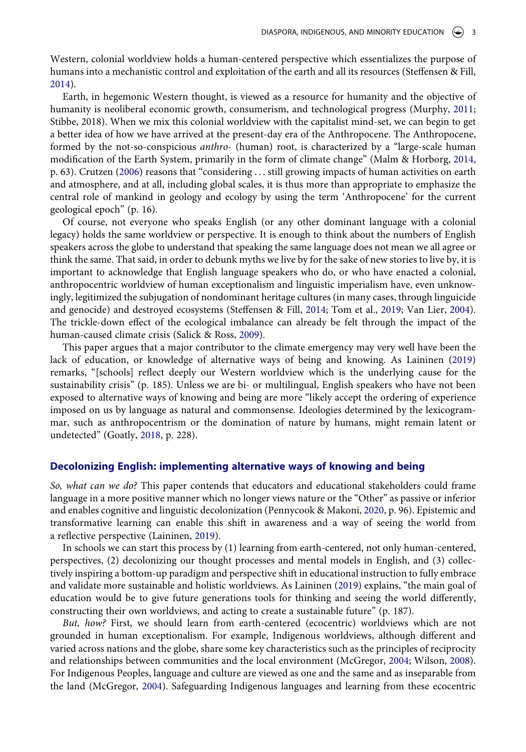Western, colonial worldview holds a human-centered perspective which essentializes the purpose of humans into a mechanistic control and exploitation of the earth and all its resources (Steffensen & Fill, [2014](#page-7-6)).

<span id="page-3-3"></span><span id="page-3-1"></span>Earth, in hegemonic Western thought, is viewed as a resource for humanity and the objective of humanity is neoliberal economic growth, consumerism, and technological progress (Murphy, [2011;](#page-6-20) Stibbe, 2018). When we mix this colonial worldview with the capitalist mind-set, we can begin to get a better idea of how we have arrived at the present-day era of the Anthropocene. The Anthropocene, formed by the not-so-conspicious *anthro*- (human) root, is characterized by a "large-scale human modification of the Earth System, primarily in the form of climate change" (Malm & Horborg, [2014,](#page-6-21) p. 63). Crutzen [\(2006](#page-6-22)) reasons that "considering . . . still growing impacts of human activities on earth and atmosphere, and at all, including global scales, it is thus more than appropriate to emphasize the central role of mankind in geology and ecology by using the term 'Anthropocene' for the current geological epoch" (p. 16).

<span id="page-3-0"></span>Of course, not everyone who speaks English (or any other dominant language with a colonial legacy) holds the same worldview or perspective. It is enough to think about the numbers of English speakers across the globe to understand that speaking the same language does not mean we all agree or think the same. That said, in order to debunk myths we live by for the sake of new stories to live by, it is important to acknowledge that English language speakers who do, or who have enacted a colonial, anthropocentric worldview of human exceptionalism and linguistic imperialism have, even unknowingly, legitimized the subjugation of nondominant heritage cultures (in many cases, through linguicide and genocide) and destroyed ecosystems (Steffensen & Fill, [2014](#page-7-6); Tom et al., [2019](#page-7-7); Van Lier, [2004](#page-7-8)). The trickle-down effect of the ecological imbalance can already be felt through the impact of the human-caused climate crisis (Salick & Ross, [2009](#page-6-23)).

<span id="page-3-6"></span><span id="page-3-5"></span>This paper argues that a major contributor to the climate emergency may very well have been the lack of education, or knowledge of alternative ways of being and knowing. As Laininen [\(2019\)](#page-6-18) remarks, "[schools] reflect deeply our Western worldview which is the underlying cause for the sustainability crisis" (p. 185). Unless we are bi- or multilingual, English speakers who have not been exposed to alternative ways of knowing and being are more "likely accept the ordering of experience imposed on us by language as natural and commonsense. Ideologies determined by the lexicogrammar, such as anthropocentrism or the domination of nature by humans, might remain latent or undetected" (Goatly, [2018,](#page-6-1) p. 228).

### **Decolonizing English: implementing alternative ways of knowing and being**

<span id="page-3-4"></span>*So, what can we do?* This paper contends that educators and educational stakeholders could frame language in a more positive manner which no longer views nature or the "Other" as passive or inferior and enables cognitive and linguistic decolonization (Pennycook & Makoni, [2020,](#page-6-24) p. 96). Epistemic and transformative learning can enable this shift in awareness and a way of seeing the world from a reflective perspective (Laininen, [2019\)](#page-6-18).

In schools we can start this process by (1) learning from earth-centered, not only human-centered, perspectives, (2) decolonizing our thought processes and mental models in English, and (3) collectively inspiring a bottom-up paradigm and perspective shift in educational instruction to fully embrace and validate more sustainable and holistic worldviews. As Laininen ([2019](#page-6-18)) explains, "the main goal of education would be to give future generations tools for thinking and seeing the world differently, constructing their own worldviews, and acting to create a sustainable future" (p. 187).

<span id="page-3-7"></span><span id="page-3-2"></span>*But, how?* First, we should learn from earth-centered (ecocentric) worldviews which are not grounded in human exceptionalism. For example, Indigenous worldviews, although different and varied across nations and the globe, share some key characteristics such as the principles of reciprocity and relationships between communities and the local environment (McGregor, [2004;](#page-6-25) Wilson, [2008](#page-7-9)). For Indigenous Peoples, language and culture are viewed as one and the same and as inseparable from the land (McGregor, [2004](#page-6-25)). Safeguarding Indigenous languages and learning from these ecocentric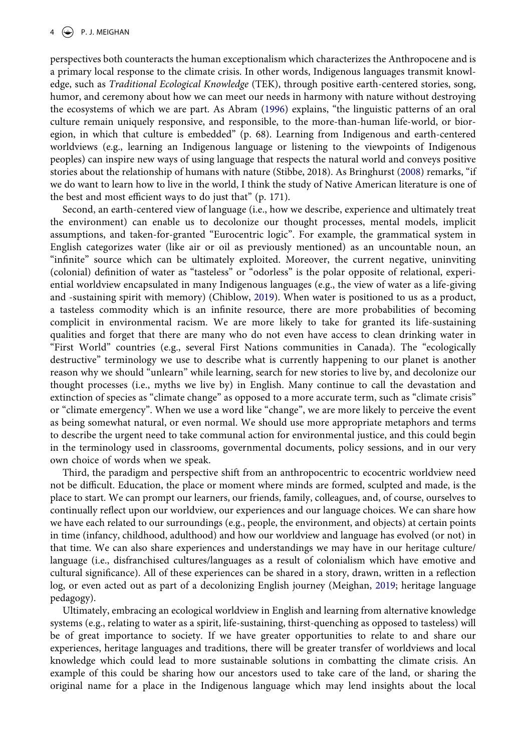<span id="page-4-0"></span>perspectives both counteracts the human exceptionalism which characterizes the Anthropocene and is a primary local response to the climate crisis. In other words, Indigenous languages transmit knowledge, such as *Traditional Ecological Knowledge* (TEK), through positive earth-centered stories, song, humor, and ceremony about how we can meet our needs in harmony with nature without destroying the ecosystems of which we are part. As Abram ([1996\)](#page-6-26) explains, "the linguistic patterns of an oral culture remain uniquely responsive, and responsible, to the more-than-human life-world, or bioregion, in which that culture is embedded" (p. 68). Learning from Indigenous and earth-centered worldviews (e.g., learning an Indigenous language or listening to the viewpoints of Indigenous peoples) can inspire new ways of using language that respects the natural world and conveys positive stories about the relationship of humans with nature (Stibbe, 2018). As Bringhurst ([2008](#page-6-27)) remarks, "if we do want to learn how to live in the world, I think the study of Native American literature is one of the best and most efficient ways to do just that" (p. 171).

<span id="page-4-2"></span><span id="page-4-1"></span>Second, an earth-centered view of language (i.e., how we describe, experience and ultimately treat the environment) can enable us to decolonize our thought processes, mental models, implicit assumptions, and taken-for-granted "Eurocentric logic". For example, the grammatical system in English categorizes water (like air or oil as previously mentioned) as an uncountable noun, an "infinite" source which can be ultimately exploited. Moreover, the current negative, uninviting (colonial) definition of water as "tasteless" or "odorless" is the polar opposite of relational, experiential worldview encapsulated in many Indigenous languages (e.g., the view of water as a life-giving and -sustaining spirit with memory) (Chiblow, [2019\)](#page-6-28). When water is positioned to us as a product, a tasteless commodity which is an infinite resource, there are more probabilities of becoming complicit in environmental racism. We are more likely to take for granted its life-sustaining qualities and forget that there are many who do not even have access to clean drinking water in "First World" countries (e.g., several First Nations communities in Canada). The "ecologically destructive" terminology we use to describe what is currently happening to our planet is another reason why we should "unlearn" while learning, search for new stories to live by, and decolonize our thought processes (i.e., myths we live by) in English. Many continue to call the devastation and extinction of species as "climate change" as opposed to a more accurate term, such as "climate crisis" or "climate emergency". When we use a word like "change", we are more likely to perceive the event as being somewhat natural, or even normal. We should use more appropriate metaphors and terms to describe the urgent need to take communal action for environmental justice, and this could begin in the terminology used in classrooms, governmental documents, policy sessions, and in our very own choice of words when we speak.

Third, the paradigm and perspective shift from an anthropocentric to ecocentric worldview need not be difficult. Education, the place or moment where minds are formed, sculpted and made, is the place to start. We can prompt our learners, our friends, family, colleagues, and, of course, ourselves to continually reflect upon our worldview, our experiences and our language choices. We can share how we have each related to our surroundings (e.g., people, the environment, and objects) at certain points in time (infancy, childhood, adulthood) and how our worldview and language has evolved (or not) in that time. We can also share experiences and understandings we may have in our heritage culture/ language (i.e., disfranchised cultures/languages as a result of colonialism which have emotive and cultural significance). All of these experiences can be shared in a story, drawn, written in a reflection log, or even acted out as part of a decolonizing English journey (Meighan, [2019;](#page-6-29) heritage language pedagogy).

<span id="page-4-3"></span>Ultimately, embracing an ecological worldview in English and learning from alternative knowledge systems (e.g., relating to water as a spirit, life-sustaining, thirst-quenching as opposed to tasteless) will be of great importance to society. If we have greater opportunities to relate to and share our experiences, heritage languages and traditions, there will be greater transfer of worldviews and local knowledge which could lead to more sustainable solutions in combatting the climate crisis. An example of this could be sharing how our ancestors used to take care of the land, or sharing the original name for a place in the Indigenous language which may lend insights about the local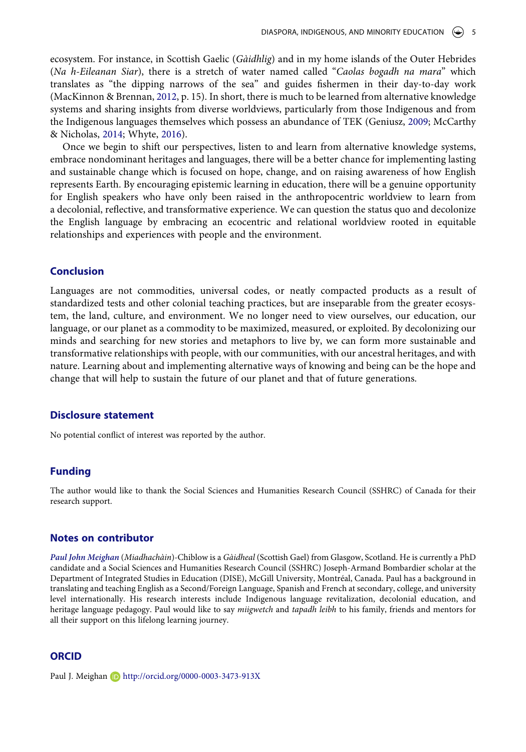<span id="page-5-1"></span>ecosystem. For instance, in Scottish Gaelic (*Gàidhlig*) and in my home islands of the Outer Hebrides (*Na h-Eileanan Siar*), there is a stretch of water named called "*Caolas bogadh na mara*" which translates as "the dipping narrows of the sea" and guides fishermen in their day-to-day work (MacKinnon & Brennan, [2012](#page-6-30), p. 15). In short, there is much to be learned from alternative knowledge systems and sharing insights from diverse worldviews, particularly from those Indigenous and from the Indigenous languages themselves which possess an abundance of TEK (Geniusz, [2009](#page-6-31); McCarthy & Nicholas, [2014;](#page-6-32) Whyte, [2016\)](#page-7-10).

<span id="page-5-2"></span><span id="page-5-0"></span>Once we begin to shift our perspectives, listen to and learn from alternative knowledge systems, embrace nondominant heritages and languages, there will be a better chance for implementing lasting and sustainable change which is focused on hope, change, and on raising awareness of how English represents Earth. By encouraging epistemic learning in education, there will be a genuine opportunity for English speakers who have only been raised in the anthropocentric worldview to learn from a decolonial, reflective, and transformative experience. We can question the status quo and decolonize the English language by embracing an ecocentric and relational worldview rooted in equitable relationships and experiences with people and the environment.

## **Conclusion**

Languages are not commodities, universal codes, or neatly compacted products as a result of standardized tests and other colonial teaching practices, but are inseparable from the greater ecosystem, the land, culture, and environment. We no longer need to view ourselves, our education, our language, or our planet as a commodity to be maximized, measured, or exploited. By decolonizing our minds and searching for new stories and metaphors to live by, we can form more sustainable and transformative relationships with people, with our communities, with our ancestral heritages, and with nature. Learning about and implementing alternative ways of knowing and being can be the hope and change that will help to sustain the future of our planet and that of future generations.

#### **Disclosure statement**

No potential conflict of interest was reported by the author.

#### **Funding**

The author would like to thank the Social Sciences and Humanities Research Council (SSHRC) of Canada for their research support.

#### **Notes on contributor**

*Paul John Meighan* (*Miadhachàin*)-Chiblow is a *Gàidheal* (Scottish Gael) from Glasgow, Scotland. He is currently a PhD candidate and a Social Sciences and Humanities Research Council (SSHRC) Joseph-Armand Bombardier scholar at the Department of Integrated Studies in Education (DISE), McGill University, Montréal, Canada. Paul has a background in translating and teaching English as a Second/Foreign Language, Spanish and French at secondary, college, and university level internationally. His research interests include Indigenous language revitalization, decolonial education, and heritage language pedagogy. Paul would like to say *miigwetch* and *tapadh leibh* to his family, friends and mentors for all their support on this lifelong learning journey.

#### **ORCID**

Paul J. Meighan **b** http://orcid.org/0000-0003-3473-913X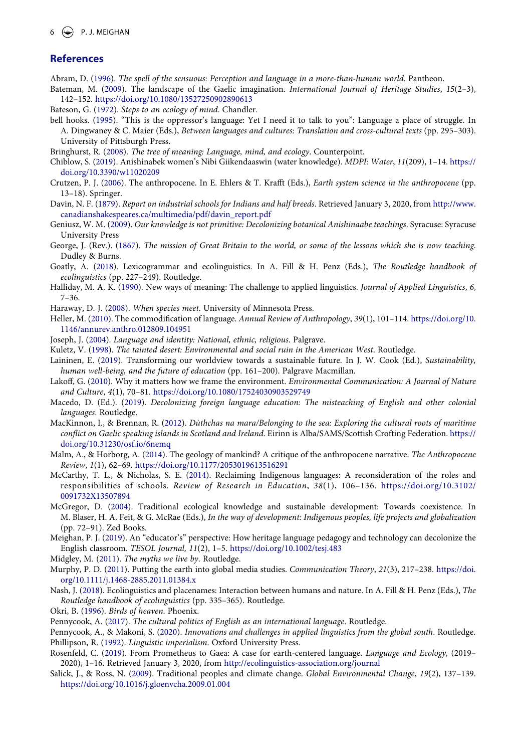#### **References**

- <span id="page-6-26"></span>Abram, D. ([1996](#page-4-0)). *The spell of the sensuous: Perception and language in a more-than-human world*. Pantheon.
- <span id="page-6-10"></span>Bateman, M. [\(2009\)](#page-2-0). The landscape of the Gaelic imagination. *International Journal of Heritage Studies*, *15*(2–3), 142–152. <https://doi.org/10.1080/13527250902890613>

<span id="page-6-16"></span>Bateson, G. ([1972](#page-2-1)). *Steps to an ecology of mind*. Chandler.

- <span id="page-6-0"></span>bell hooks. ([1995](#page-1-0)). "This is the oppressor's language: Yet I need it to talk to you": Language a place of struggle. In A. Dingwaney & C. Maier (Eds.), *Between languages and cultures: Translation and cross-cultural texts* (pp. 295–303). University of Pittsburgh Press.
- <span id="page-6-27"></span>Bringhurst, R. ([2008](#page-4-1)). *The tree of meaning: Language, mind, and ecology*. Counterpoint.
- <span id="page-6-28"></span>Chiblow, S. ([2019](#page-4-2)). Anishinabek women's Nibi Giikendaaswin (water knowledge). *MDPI: Water*, *11*(209), 1–14. [https://](https://doi.org/10.3390/w11020209) [doi.org/10.3390/w11020209](https://doi.org/10.3390/w11020209)
- <span id="page-6-22"></span>Crutzen, P. J. ([2006](#page-3-0)). The anthropocene. In E. Ehlers & T. Krafft (Eds.), *Earth system science in the anthropocene* (pp. 13–18). Springer.
- <span id="page-6-15"></span>Davin, N. F. [\(1879](#page-2-2)). *Report on industrial schools for Indians and half breeds*. Retrieved January 3, 2020, from [http://www.](http://www.canadianshakespeares.ca/multimedia/pdf/davin_report.pdf) [canadianshakespeares.ca/multimedia/pdf/davin\\_report.pdf](http://www.canadianshakespeares.ca/multimedia/pdf/davin_report.pdf)
- <span id="page-6-31"></span>Geniusz, W. M. ([2009](#page-5-0)). *Our knowledge is not primitive: Decolonizing botanical Anishinaabe teachings*. Syracuse: Syracuse University Press
- <span id="page-6-14"></span>George, J. (Rev.). ([1867\)](#page-2-3). *The mission of Great Britain to the world, or some of the lessons which she is now teaching*. Dudley & Burns.
- <span id="page-6-1"></span>Goatly, A. [\(2018\)](#page-1-1). Lexicogrammar and ecolinguistics. In A. Fill & H. Penz (Eds.), *The Routledge handbook of ecolinguistics* (pp. 227–249). Routledge.
- <span id="page-6-7"></span>Halliday, M. A. K. [\(1990](#page-2-4)). New ways of meaning: The challenge to applied linguistics. *Journal of Applied Linguistics*, *6*, 7–36.
- <span id="page-6-19"></span>Haraway, D. J. ([2008\)](#page-2-5). *When species meet*. University of Minnesota Press.
- <span id="page-6-4"></span>Heller, M. [\(2010\)](#page-1-2). The commodification of language. *Annual Review of Anthropology*, *39*(1), 101–114. [https://doi.org/10.](https://doi.org/10.1146/annurev.anthro.012809.104951) [1146/annurev.anthro.012809.104951](https://doi.org/10.1146/annurev.anthro.012809.104951)
- <span id="page-6-6"></span>Joseph, J. [\(2004\)](#page-2-6). *Language and identity: National, ethnic, religious*. Palgrave.
- <span id="page-6-8"></span>Kuletz, V. ([1998](#page-2-7)). *The tainted desert: Environmental and social ruin in the American West*. Routledge.
- <span id="page-6-18"></span>Laininen, E. ([2019\)](#page-2-8). Transforming our worldview towards a sustainable future. In J. W. Cook (Ed.), *Sustainability, human well-being, and the future of education* (pp. 161-200). Palgrave Macmillan.
- <span id="page-6-11"></span>Lakoff, G. ([2010](#page-2-9)). Why it matters how we frame the environment. *Environmental Communication: A Journal of Nature and Culture*, *4*(1), 70–81. <https://doi.org/10.1080/17524030903529749>
- <span id="page-6-17"></span>Macedo, D. (Ed.). [\(2019](#page-2-10)). *Decolonizing foreign language education: The misteaching of English and other colonial languages*. Routledge.
- <span id="page-6-30"></span>MacKinnon, I., & Brennan, R. ([2012](#page-5-1)). *Dùthchas na mara/Belonging to the sea: Exploring the cultural roots of maritime conflict on Gaelic speaking islands in Scotland and Ireland*. Eirinn is Alba/SAMS/Scottish Crofting Federation. [https://](https://doi.org/10.31230/osf.io/6nemq) [doi.org/10.31230/osf.io/6nemq](https://doi.org/10.31230/osf.io/6nemq)
- <span id="page-6-21"></span>Malm, A., & Horborg, A. [\(2014](#page-3-1)). The geology of mankind? A critique of the anthropocene narrative. *The Anthropocene Review*, *1*(1), 62–69. <https://doi.org/10.1177/2053019613516291>
- <span id="page-6-32"></span>McCarthy, T. L., & Nicholas, S. E. [\(2014](#page-5-2)). Reclaiming Indigenous languages: A reconsideration of the roles and responsibilities of schools. *Review of Research in Education*, *38*(1), 106–136. [https://doi.org/10.3102/](https://doi.org/10.3102/0091732X13507894) [0091732X13507894](https://doi.org/10.3102/0091732X13507894)
- <span id="page-6-25"></span>McGregor, D. [\(2004\)](#page-3-2). Traditional ecological knowledge and sustainable development: Towards coexistence. In M. Blaser, H. A. Feit, & G. McRae (Eds.), *In the way of development: Indigenous peoples, life projects and globalization*  (pp. 72–91). Zed Books.
- <span id="page-6-29"></span>Meighan, P. J. ([2019](#page-4-3)). An "educator's" perspective: How heritage language pedagogy and technology can decolonize the English classroom. *TESOL Journal, 11*(2), 1–5. <https://doi.org/10.1002/tesj.483>
- <span id="page-6-12"></span>Midgley, M. [\(2011](#page-2-11)). *The myths we live by*. Routledge.
- <span id="page-6-20"></span>Murphy, P. D. ([2011](#page-3-3)). Putting the earth into global media studies. *Communication Theory*, *21*(3), 217–238. [https://doi.](https://doi.org/10.1111/j.1468-2885.2011.01384.x) [org/10.1111/j.1468-2885.2011.01384.x](https://doi.org/10.1111/j.1468-2885.2011.01384.x)
- <span id="page-6-3"></span>Nash, J. [\(2018](#page-1-3)). Ecolinguistics and placenames: Interaction between humans and nature. In A. Fill & H. Penz (Eds.), *The Routledge handbook of ecolinguistics* (pp. 335–365). Routledge.
- <span id="page-6-13"></span>Okri, B. ([1996\)](#page-2-11). *Birds of heaven*. Phoenix.
- <span id="page-6-2"></span>Pennycook, A. ([2017\)](#page-1-1). *The cultural politics of English as an international language*. Routledge.
- <span id="page-6-24"></span><span id="page-6-5"></span>Pennycook, A., & Makoni, S. [\(2020\)](#page-3-4). *Innovations and challenges in applied linguistics from the global south*. Routledge. Phillipson, R. ([1992\)](#page-1-4). *Linguistic imperialism*. Oxford University Press.
- <span id="page-6-9"></span>Rosenfeld, C. [\(2019\)](#page-2-12). From Prometheus to Gaea: A case for earth-centered language. *Language and Ecology,* (2019– 2020), 1–16. Retrieved January 3, 2020, from <http://ecolinguistics-association.org/journal>
- <span id="page-6-23"></span>Salick, J., & Ross, N. [\(2009\)](#page-3-5). Traditional peoples and climate change. *Global Environmental Change*, *19*(2), 137–139. <https://doi.org/10.1016/j.gloenvcha.2009.01.004>